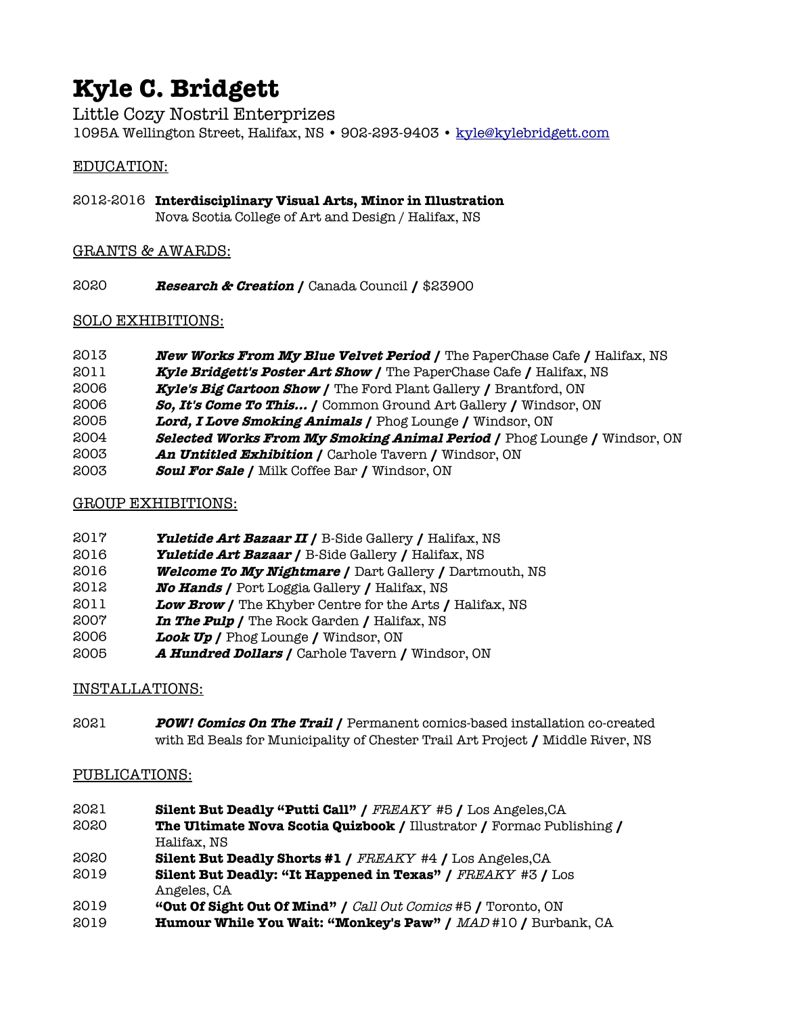# **Kyle C. Bridgett**

Little Cozy Nostril Enterprizes 1095A Wellington Street, Halifax, NS · 902-293-9403 · [kyle@kylebridgett.com](mailto:kyle@kylebridgett.com)

#### EDUCATION:

2012-2016 **Interdisciplinary Visual Arts, Minor in Illustration** Nova Scotia College of Art and Design / Halifax, NS

## GRANTS & AWARDS:

**Research & Creation /** Canada Council **/** \$23900

## SOLO EXHIBITIONS:

- **New Works From My Blue Velvet Period /** The PaperChase Cafe **/** Halifax, NS
- **Kyle Bridgett's Poster Art Show /** The PaperChase Cafe **/** Halifax, NS
- **Kyle's Big Cartoon Show /** The Ford Plant Gallery **/** Brantford, ON
- **So, It's Come To This... /** Common Ground Art Gallery **/** Windsor, ON
- **Lord, I Love Smoking Animals /** Phog Lounge **/** Windsor, ON
- **Selected Works From My Smoking Animal Period /** Phog Lounge **/** Windsor, ON
- **An Untitled Exhibition /** Carhole Tavern **/** Windsor, ON
- **Soul For Sale /** Milk Coffee Bar **/** Windsor, ON

## GROUP EXHIBITIONS:

- **Yuletide Art Bazaar II /** B-Side Gallery **/** Halifax, NS
- **Yuletide Art Bazaar /** B-Side Gallery **/** Halifax, NS
- **Welcome To My Nightmare /** Dart Gallery **/** Dartmouth, NS
- **No Hands /** Port Loggia Gallery **/** Halifax, NS
- **Low Brow /** The Khyber Centre for the Arts **/** Halifax, NS
- **In The Pulp /** The Rock Garden **/** Halifax, NS
- **Look Up /** Phog Lounge **/** Windsor, ON
- **A Hundred Dollars /** Carhole Tavern **/** Windsor, ON

## INSTALLATIONS:

 **POW! Comics On The Trail /** Permanent comics-based installation co-created with Ed Beals for Municipality of Chester Trail Art Project **/** Middle River, NS

#### PUBLICATIONS:

- **Silent But Deadly "Putti Call" /** FREAKY #5 **/** Los Angeles,CA
- **The Ultimate Nova Scotia Quizbook /** Illustrator **/** Formac Publishing **/** Halifax, NS
- **Silent But Deadly Shorts #1 /** FREAKY #4 **/** Los Angeles,CA
- **Silent But Deadly: "It Happened in Texas" /** FREAKY #3 **/** Los Angeles, CA
- **"Out Of Sight Out Of Mind" /** Call Out Comics #5 **/** Toronto, ON
- **Humour While You Wait: "Monkey's Paw" /** MAD #10 **/** Burbank, CA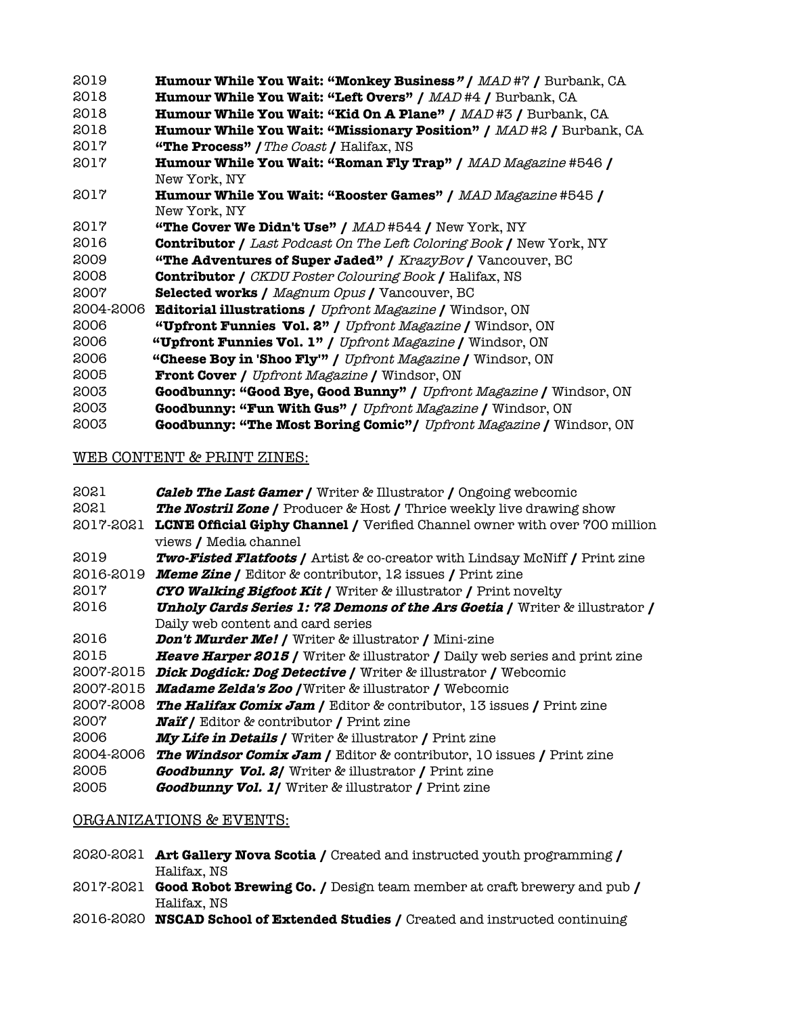| 2019      | Humour While You Wait: "Monkey Business" / MAD #7 / Burbank, CA            |
|-----------|----------------------------------------------------------------------------|
| 2018      | <b>Humour While You Wait: "Left Overs" / MAD#4 / Burbank, CA</b>           |
| 2018      | <b>Humour While You Wait: "Kid On A Plane" / MAD#3 / Burbank, CA</b>       |
| 2018      | <b>Humour While You Wait: "Missionary Position" / MAD#2 / Burbank, CA</b>  |
| 2017      | "The Process" / The Coast / Halifax, NS                                    |
| 2017      | <b>Humour While You Wait: "Roman Fly Trap" / MAD Magazine #546 /</b>       |
|           | New York, NY                                                               |
| 2017      | <b>Humour While You Wait: "Rooster Games" / MAD Magazine #545 /</b>        |
|           | New York, NY                                                               |
| 2017      | <b>"The Cover We Didn't Use" / <math>MAD</math> #544 / New York, NY</b>    |
| 2016      | <b>Contributor / Last Podcast On The Left Coloring Book / New York, NY</b> |
| 2009      | "The Adventures of Super Jaded" / KrazyBov / Vancouver, BC                 |
| 2008      | <b>Contributor /</b> CKDU Poster Colouring Book / Halifax, NS              |
| 2007      | <b>Selected works / Magnum Opus / Vancouver, BC</b>                        |
| 2004-2006 | <b>Editorial illustrations / Upfront Magazine / Windsor, ON</b>            |
| 2006      | "Upfront Funnies Vol. 2" / Upfront Magazine / Windsor, ON                  |
| 2006      | "Upfront Funnies Vol. 1" / Upfront Magazine / Windsor, ON                  |
| 2006      | "Cheese Boy in 'Shoo Fly" / Upfront Magazine / Windsor, ON                 |
| 2005      | <b>Front Cover / Upfront Magazine / Windsor, ON</b>                        |
| 2003      | Goodbunny: "Good Bye, Good Bunny" / Upfront Magazine / Windsor, ON         |
| 2003      | <b>Goodbunny: "Fun With Gus" / Upfront Magazine / Windsor, ON</b>          |

**Goodbunny: "The Most Boring Comic"/** Upfront Magazine **/** Windsor, ON

#### WEB CONTENT & PRINT ZINES:

| 2021      | <b>Caleb The Last Gamer /</b> Writer & Illustrator / Ongoing webcomic                  |
|-----------|----------------------------------------------------------------------------------------|
| 2021      | <b>The Nostril Zone /</b> Producer & Host / Thrice weekly live drawing show            |
| 2017-2021 | LCNE Official Giphy Channel / Verified Channel owner with over 700 million             |
|           | views / Media channel                                                                  |
| 2019      | <b>Two-Fisted Flatfoots / Artist &amp; co-creator with Lindsay McNiff / Print zine</b> |
| 2016-2019 | <b>Meme Zine /</b> Editor & contributor, 12 issues / Print zine                        |
| 2017      | <b>CYO Walking Bigfoot Kit / Writer &amp; illustrator / Print novelty</b>              |
| 2016      | <b>Unholy Cards Series 1: 72 Demons of the Ars Goetia / Writer &amp; illustrator /</b> |
|           | Daily web content and card series                                                      |
| 2016      | <b>Don't Murder Me! /</b> Writer & illustrator / Mini-zine                             |
| 2015      | <b>Heave Harper 2015 /</b> Writer & illustrator / Daily web series and print zine      |
| 2007-2015 | Dick Dogdick: Dog Detective / Writer & illustrator / Webcomic                          |
| 2007-2015 | <b>Madame Zelda's Zoo / Writer &amp; illustrator / Webcomic</b>                        |
| 2007-2008 | <b>The Halifax Comix Jam / Editor &amp; contributor, 13 issues / Print zine</b>        |
| 2007      | <b>Naif /</b> Editor & contributor / Print zine                                        |
| 2006      | <b>My Life in Details / Writer &amp; illustrator / Print zine</b>                      |
| 2004-2006 | <b>The Windsor Comix Jam / Editor &amp; contributor, 10 issues / Print zine</b>        |
| 2005      | <b>Goodbunny Vol. 2/</b> Writer & illustrator / Print zine                             |
|           |                                                                                        |

# **Goodbunny Vol. 1/** Writer & illustrator **/** Print zine

## ORGANIZATIONS & EVENTS:

- 2020-2021 **Art Gallery Nova Scotia /** Created and instructed youth programming **/**  Halifax, NS
- 2017-2021 **Good Robot Brewing Co. /** Design team member at craft brewery and pub **/**  Halifax, NS
- 2016-2020 **NSCAD School of Extended Studies /** Created and instructed continuing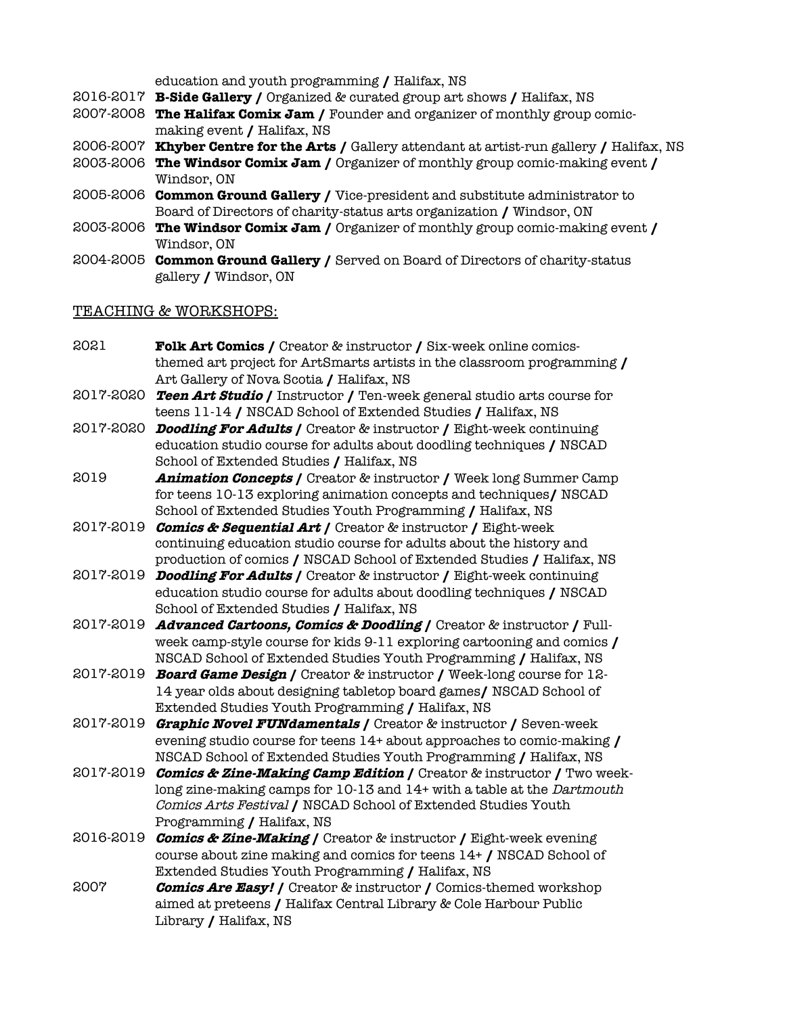education and youth programming **/** Halifax, NS

- 2016-2017 **B-Side Gallery /** Organized & curated group art shows **/** Halifax, NS
- 2007-2008 **The Halifax Comix Jam /** Founder and organizer of monthly group comicmaking event **/** Halifax, NS
- 2006-2007 **Khyber Centre for the Arts /** Gallery attendant at artist-run gallery **/** Halifax, NS
- 2003-2006 **The Windsor Comix Jam /** Organizer of monthly group comic-making event **/**  Windsor, ON
- 2005-2006 **Common Ground Gallery /** Vice-president and substitute administrator to Board of Directors of charity-status arts organization **/** Windsor, ON
- 2003-2006 **The Windsor Comix Jam /** Organizer of monthly group comic-making event **/**  Windsor, ON
- 2004-2005 **Common Ground Gallery /** Served on Board of Directors of charity-status gallery **/** Windsor, ON

#### TEACHING & WORKSHOPS:

- 2021 **Folk Art Comics /** Creator & instructor **/** Six-week online comicsthemed art project for ArtSmarts artists in the classroom programming **/** Art Gallery of Nova Scotia **/** Halifax, NS
- 2017-2020 **Teen Art Studio /** Instructor **/** Ten-week general studio arts course for teens 11-14 **/** NSCAD School of Extended Studies **/** Halifax, NS
- 2017-2020 **Doodling For Adults /** Creator & instructor **/** Eight-week continuing education studio course for adults about doodling techniques **/** NSCAD School of Extended Studies **/** Halifax, NS
- 2019 **Animation Concepts /** Creator & instructor **/** Week long Summer Camp for teens 10-13 exploring animation concepts and techniques**/** NSCAD School of Extended Studies Youth Programming **/** Halifax, NS
- 2017-2019 **Comics & Sequential Art /** Creator & instructor **/** Eight-week continuing education studio course for adults about the history and production of comics **/** NSCAD School of Extended Studies **/** Halifax, NS
- 2017-2019 **Doodling For Adults /** Creator & instructor **/** Eight-week continuing education studio course for adults about doodling techniques **/** NSCAD School of Extended Studies **/** Halifax, NS
- 2017-2019 **Advanced Cartoons, Comics & Doodling /** Creator & instructor **/** Fullweek camp-style course for kids 9-11 exploring cartooning and comics **/**  NSCAD School of Extended Studies Youth Programming **/** Halifax, NS
- 2017-2019 **Board Game Design /** Creator & instructor **/** Week-long course for 12- 14 year olds about designing tabletop board games**/** NSCAD School of Extended Studies Youth Programming **/** Halifax, NS
- 2017-2019 **Graphic Novel FUNdamentals /** Creator & instructor **/** Seven-week evening studio course for teens 14+ about approaches to comic-making **/** NSCAD School of Extended Studies Youth Programming **/** Halifax, NS
- 2017-2019 **Comics & Zine-Making Camp Edition /** Creator & instructor **/** Two weeklong zine-making camps for 10-13 and 14+ with a table at the Dartmouth Comics Arts Festival **/** NSCAD School of Extended Studies Youth Programming **/** Halifax, NS
- 2016-2019 **Comics & Zine-Making /** Creator & instructor **/** Eight-week evening course about zine making and comics for teens 14+ **/** NSCAD School of Extended Studies Youth Programming **/** Halifax, NS
- 2007 **Comics Are Easy! /** Creator & instructor **/** Comics-themed workshop aimed at preteens **/** Halifax Central Library & Cole Harbour Public Library **/** Halifax, NS